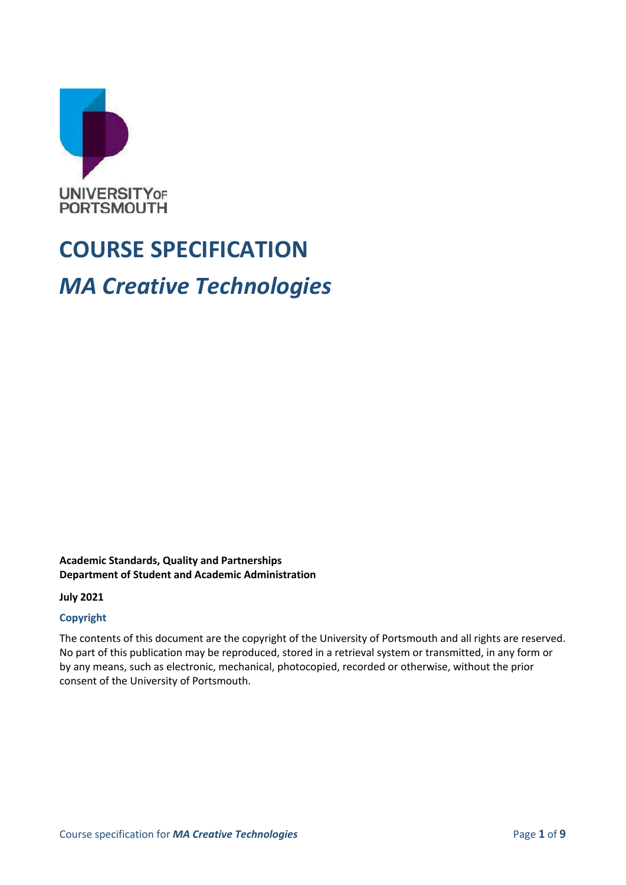

# **COURSE SPECIFICATION** *MA Creative Technologies*

#### **Academic Standards, Quality and Partnerships Department of Student and Academic Administration**

**July 2021**

#### **Copyright**

The contents of this document are the copyright of the University of Portsmouth and all rights are reserved. No part of this publication may be reproduced, stored in a retrieval system or transmitted, in any form or by any means, such as electronic, mechanical, photocopied, recorded or otherwise, without the prior consent of the University of Portsmouth.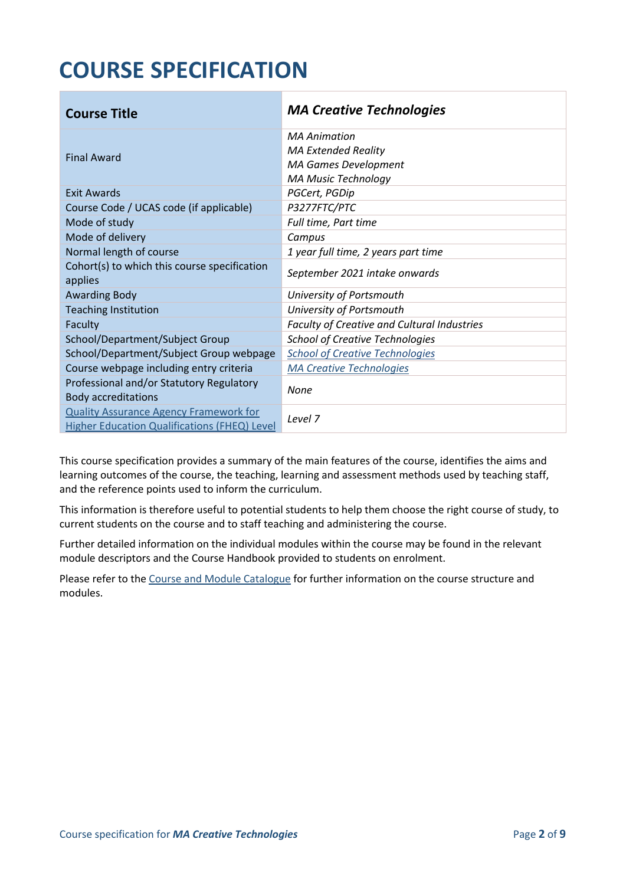# **COURSE SPECIFICATION**

| <b>Course Title</b>                                                                           | <b>MA Creative Technologies</b>                           |
|-----------------------------------------------------------------------------------------------|-----------------------------------------------------------|
| <b>Final Award</b>                                                                            | <b>MA Animation</b><br><b>MA Extended Reality</b>         |
|                                                                                               | <b>MA Games Development</b><br><b>MA Music Technology</b> |
| <b>Exit Awards</b>                                                                            | PGCert, PGDip                                             |
| Course Code / UCAS code (if applicable)                                                       | P3277FTC/PTC                                              |
| Mode of study                                                                                 | Full time, Part time                                      |
| Mode of delivery                                                                              | Campus                                                    |
| Normal length of course                                                                       | 1 year full time, 2 years part time                       |
| Cohort(s) to which this course specification<br>applies                                       | September 2021 intake onwards                             |
| <b>Awarding Body</b>                                                                          | University of Portsmouth                                  |
| <b>Teaching Institution</b>                                                                   | University of Portsmouth                                  |
| Faculty                                                                                       | Faculty of Creative and Cultural Industries               |
| School/Department/Subject Group                                                               | <b>School of Creative Technologies</b>                    |
| School/Department/Subject Group webpage                                                       | <b>School of Creative Technologies</b>                    |
| Course webpage including entry criteria                                                       | <b>MA Creative Technologies</b>                           |
| Professional and/or Statutory Regulatory<br><b>Body accreditations</b>                        | None                                                      |
| <b>Quality Assurance Agency Framework for</b><br>Higher Education Qualifications (FHEQ) Level | Level <sub>7</sub>                                        |

This course specification provides a summary of the main features of the course, identifies the aims and learning outcomes of the course, the teaching, learning and assessment methods used by teaching staff, and the reference points used to inform the curriculum.

This information is therefore useful to potential students to help them choose the right course of study, to current students on the course and to staff teaching and administering the course.

Further detailed information on the individual modules within the course may be found in the relevant module descriptors and the Course Handbook provided to students on enrolment.

Please refer to the [Course and Module Catalogue](https://course-module-catalog.port.ac.uk/#/welcome) for further information on the course structure and modules.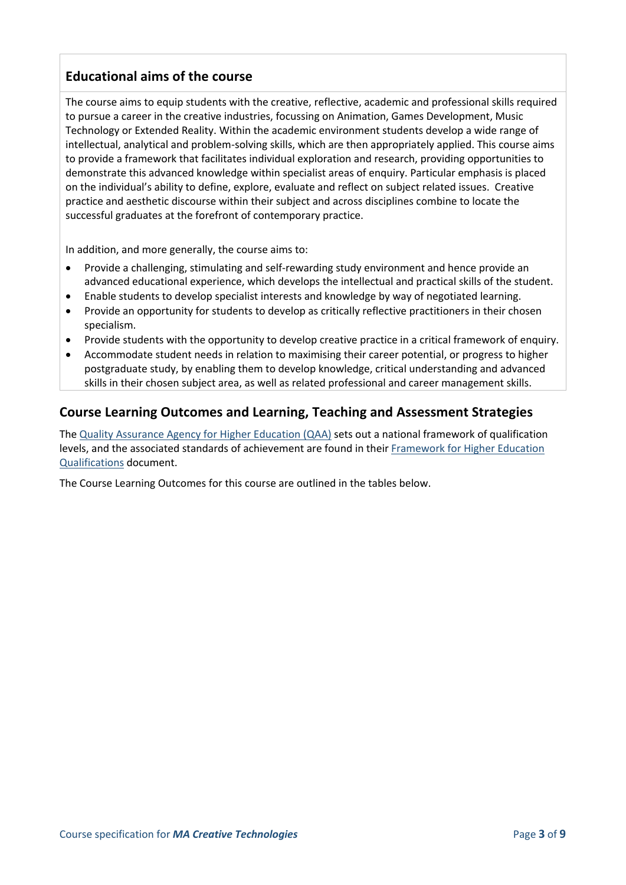## **Educational aims of the course**

The course aims to equip students with the creative, reflective, academic and professional skills required to pursue a career in the creative industries, focussing on Animation, Games Development, Music Technology or Extended Reality. Within the academic environment students develop a wide range of intellectual, analytical and problem-solving skills, which are then appropriately applied. This course aims to provide a framework that facilitates individual exploration and research, providing opportunities to demonstrate this advanced knowledge within specialist areas of enquiry. Particular emphasis is placed on the individual's ability to define, explore, evaluate and reflect on subject related issues. Creative practice and aesthetic discourse within their subject and across disciplines combine to locate the successful graduates at the forefront of contemporary practice.

In addition, and more generally, the course aims to:

- Provide a challenging, stimulating and self-rewarding study environment and hence provide an advanced educational experience, which develops the intellectual and practical skills of the student.
- Enable students to develop specialist interests and knowledge by way of negotiated learning.
- Provide an opportunity for students to develop as critically reflective practitioners in their chosen specialism.
- Provide students with the opportunity to develop creative practice in a critical framework of enquiry.
- Accommodate student needs in relation to maximising their career potential, or progress to higher postgraduate study, by enabling them to develop knowledge, critical understanding and advanced skills in their chosen subject area, as well as related professional and career management skills.

#### **Course Learning Outcomes and Learning, Teaching and Assessment Strategies**

The [Quality Assurance Agency for Higher Education \(QAA\)](https://www.qaa.ac.uk/en) sets out a national framework of qualification levels, and the associated standards of achievement are found in their Framework for Higher Education [Qualifications](https://www.qaa.ac.uk/quality-code/qualifications-frameworks) document.

The Course Learning Outcomes for this course are outlined in the tables below.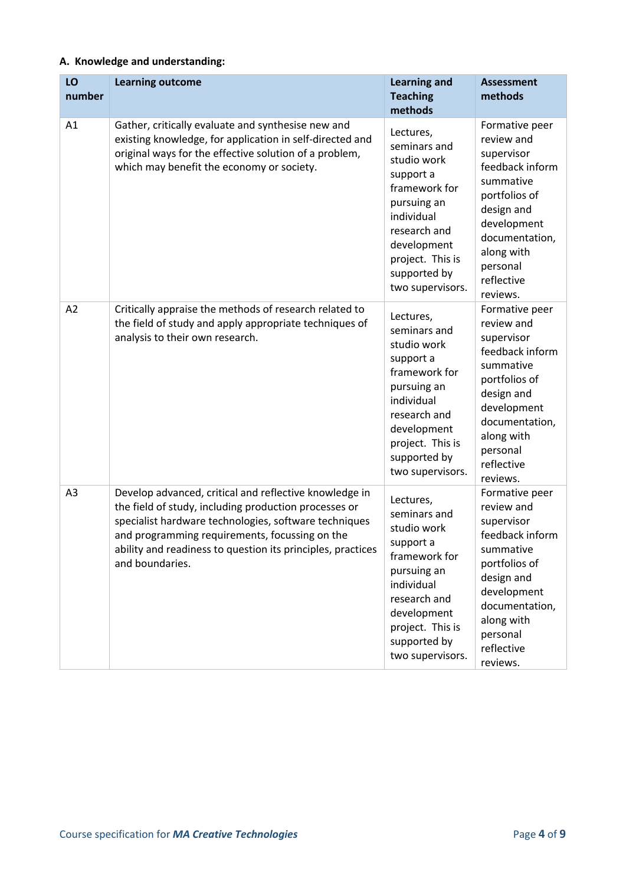#### **A. Knowledge and understanding:**

| LO<br>number   | <b>Learning outcome</b>                                                                                                                                                                                                                                                                                      | <b>Learning and</b><br><b>Teaching</b><br>methods                                                                                                                                          | <b>Assessment</b><br>methods                                                                                                                                                                   |
|----------------|--------------------------------------------------------------------------------------------------------------------------------------------------------------------------------------------------------------------------------------------------------------------------------------------------------------|--------------------------------------------------------------------------------------------------------------------------------------------------------------------------------------------|------------------------------------------------------------------------------------------------------------------------------------------------------------------------------------------------|
| A1             | Gather, critically evaluate and synthesise new and<br>existing knowledge, for application in self-directed and<br>original ways for the effective solution of a problem,<br>which may benefit the economy or society.                                                                                        | Lectures,<br>seminars and<br>studio work<br>support a<br>framework for<br>pursuing an<br>individual<br>research and<br>development<br>project. This is<br>supported by<br>two supervisors. | Formative peer<br>review and<br>supervisor<br>feedback inform<br>summative<br>portfolios of<br>design and<br>development<br>documentation,<br>along with<br>personal<br>reflective<br>reviews. |
| A2             | Critically appraise the methods of research related to<br>the field of study and apply appropriate techniques of<br>analysis to their own research.                                                                                                                                                          | Lectures,<br>seminars and<br>studio work<br>support a<br>framework for<br>pursuing an<br>individual<br>research and<br>development<br>project. This is<br>supported by<br>two supervisors. | Formative peer<br>review and<br>supervisor<br>feedback inform<br>summative<br>portfolios of<br>design and<br>development<br>documentation,<br>along with<br>personal<br>reflective<br>reviews. |
| A <sub>3</sub> | Develop advanced, critical and reflective knowledge in<br>the field of study, including production processes or<br>specialist hardware technologies, software techniques<br>and programming requirements, focussing on the<br>ability and readiness to question its principles, practices<br>and boundaries. | Lectures,<br>seminars and<br>studio work<br>support a<br>framework for<br>pursuing an<br>individual<br>research and<br>development<br>project. This is<br>supported by<br>two supervisors. | Formative peer<br>review and<br>supervisor<br>feedback inform<br>summative<br>portfolios of<br>design and<br>development<br>documentation,<br>along with<br>personal<br>reflective<br>reviews. |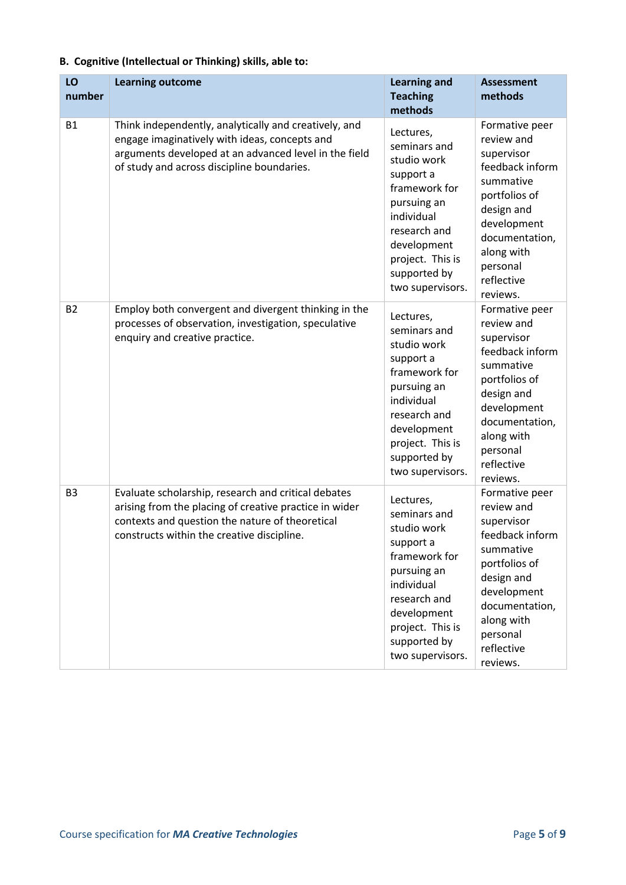| LO<br>number   | <b>Learning outcome</b>                                                                                                                                                                                        | <b>Learning and</b><br><b>Teaching</b><br>methods                                                                                                                                          | <b>Assessment</b><br>methods                                                                                                                                                                   |
|----------------|----------------------------------------------------------------------------------------------------------------------------------------------------------------------------------------------------------------|--------------------------------------------------------------------------------------------------------------------------------------------------------------------------------------------|------------------------------------------------------------------------------------------------------------------------------------------------------------------------------------------------|
| <b>B1</b>      | Think independently, analytically and creatively, and<br>engage imaginatively with ideas, concepts and<br>arguments developed at an advanced level in the field<br>of study and across discipline boundaries.  | Lectures,<br>seminars and<br>studio work<br>support a<br>framework for<br>pursuing an<br>individual<br>research and<br>development<br>project. This is<br>supported by<br>two supervisors. | Formative peer<br>review and<br>supervisor<br>feedback inform<br>summative<br>portfolios of<br>design and<br>development<br>documentation,<br>along with<br>personal<br>reflective<br>reviews. |
| <b>B2</b>      | Employ both convergent and divergent thinking in the<br>processes of observation, investigation, speculative<br>enquiry and creative practice.                                                                 | Lectures,<br>seminars and<br>studio work<br>support a<br>framework for<br>pursuing an<br>individual<br>research and<br>development<br>project. This is<br>supported by<br>two supervisors. | Formative peer<br>review and<br>supervisor<br>feedback inform<br>summative<br>portfolios of<br>design and<br>development<br>documentation,<br>along with<br>personal<br>reflective<br>reviews. |
| B <sub>3</sub> | Evaluate scholarship, research and critical debates<br>arising from the placing of creative practice in wider<br>contexts and question the nature of theoretical<br>constructs within the creative discipline. | Lectures,<br>seminars and<br>studio work<br>support a<br>framework for<br>pursuing an<br>individual<br>research and<br>development<br>project. This is<br>supported by<br>two supervisors. | Formative peer<br>review and<br>supervisor<br>feedback inform<br>summative<br>portfolios of<br>design and<br>development<br>documentation,<br>along with<br>personal<br>reflective<br>reviews. |

#### **B. Cognitive (Intellectual or Thinking) skills, able to:**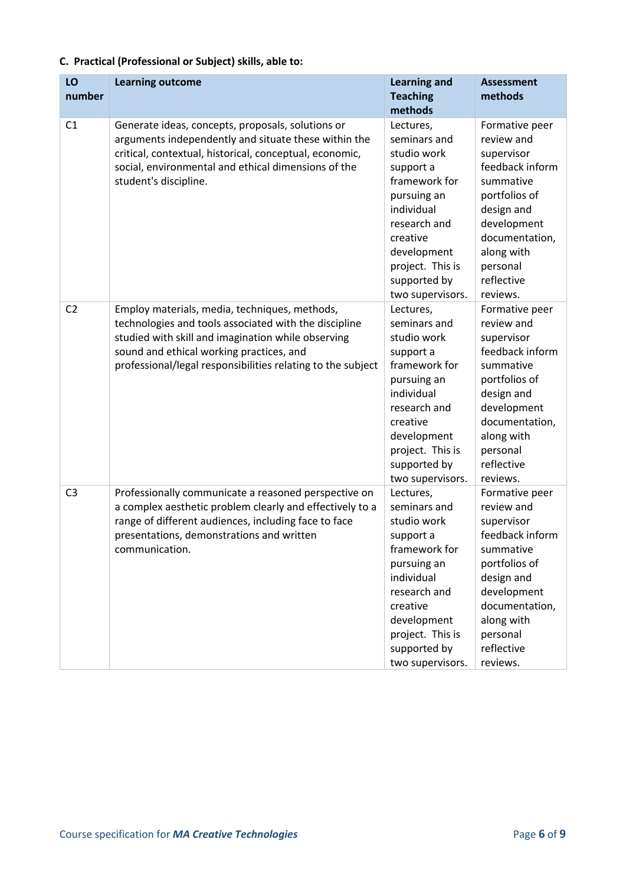|  |  |  |  | C. Practical (Professional or Subject) skills, able to: |
|--|--|--|--|---------------------------------------------------------|
|--|--|--|--|---------------------------------------------------------|

| LO<br>number   | <b>Learning outcome</b>                                                                                                                                                                                                                                                 | <b>Learning and</b><br><b>Teaching</b>                                                                                                                                                                 | <b>Assessment</b><br>methods                                                                                                                                                                   |
|----------------|-------------------------------------------------------------------------------------------------------------------------------------------------------------------------------------------------------------------------------------------------------------------------|--------------------------------------------------------------------------------------------------------------------------------------------------------------------------------------------------------|------------------------------------------------------------------------------------------------------------------------------------------------------------------------------------------------|
|                |                                                                                                                                                                                                                                                                         | methods                                                                                                                                                                                                |                                                                                                                                                                                                |
| C1             | Generate ideas, concepts, proposals, solutions or<br>arguments independently and situate these within the<br>critical, contextual, historical, conceptual, economic,<br>social, environmental and ethical dimensions of the<br>student's discipline.                    | Lectures,<br>seminars and<br>studio work<br>support a<br>framework for<br>pursuing an<br>individual<br>research and<br>creative<br>development<br>project. This is<br>supported by<br>two supervisors. | Formative peer<br>review and<br>supervisor<br>feedback inform<br>summative<br>portfolios of<br>design and<br>development<br>documentation,<br>along with<br>personal<br>reflective<br>reviews. |
| C <sub>2</sub> | Employ materials, media, techniques, methods,<br>technologies and tools associated with the discipline<br>studied with skill and imagination while observing<br>sound and ethical working practices, and<br>professional/legal responsibilities relating to the subject | Lectures,<br>seminars and<br>studio work<br>support a<br>framework for<br>pursuing an<br>individual<br>research and<br>creative<br>development<br>project. This is<br>supported by<br>two supervisors. | Formative peer<br>review and<br>supervisor<br>feedback inform<br>summative<br>portfolios of<br>design and<br>development<br>documentation,<br>along with<br>personal<br>reflective<br>reviews. |
| C <sub>3</sub> | Professionally communicate a reasoned perspective on<br>a complex aesthetic problem clearly and effectively to a<br>range of different audiences, including face to face<br>presentations, demonstrations and written<br>communication.                                 | Lectures,<br>seminars and<br>studio work<br>support a<br>framework for<br>pursuing an<br>individual<br>research and<br>creative<br>development<br>project. This is<br>supported by<br>two supervisors. | Formative peer<br>review and<br>supervisor<br>feedback inform<br>summative<br>portfolios of<br>design and<br>development<br>documentation,<br>along with<br>personal<br>reflective<br>reviews. |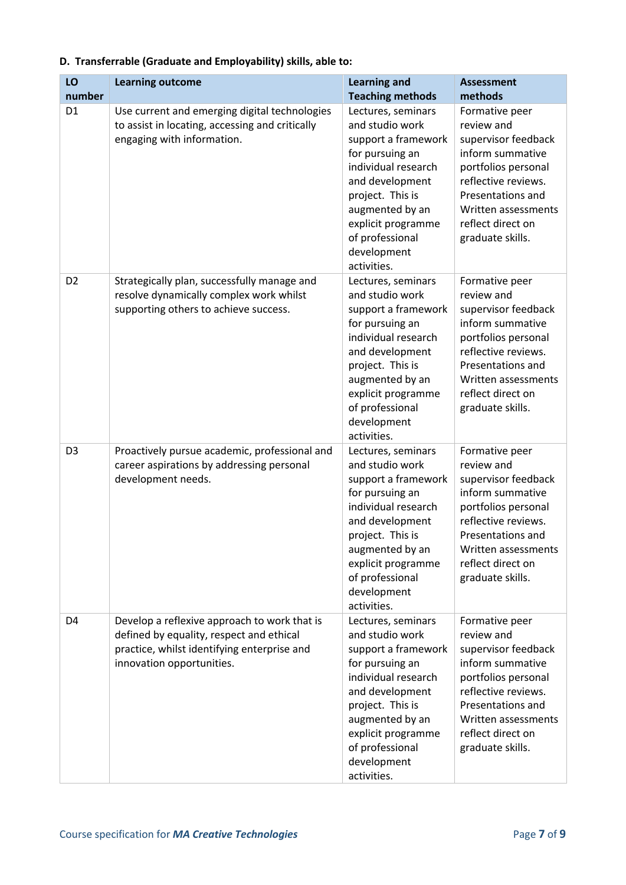| LO             | <b>Learning outcome</b>                                                                                                                                              | <b>Learning and</b>                                                                                                                                                                                                                     | <b>Assessment</b>                                                                                                                                                                                          |
|----------------|----------------------------------------------------------------------------------------------------------------------------------------------------------------------|-----------------------------------------------------------------------------------------------------------------------------------------------------------------------------------------------------------------------------------------|------------------------------------------------------------------------------------------------------------------------------------------------------------------------------------------------------------|
| number         |                                                                                                                                                                      | <b>Teaching methods</b>                                                                                                                                                                                                                 | methods                                                                                                                                                                                                    |
| D <sub>1</sub> | Use current and emerging digital technologies<br>to assist in locating, accessing and critically<br>engaging with information.                                       | Lectures, seminars<br>and studio work<br>support a framework<br>for pursuing an<br>individual research<br>and development<br>project. This is<br>augmented by an<br>explicit programme<br>of professional<br>development<br>activities. | Formative peer<br>review and<br>supervisor feedback<br>inform summative<br>portfolios personal<br>reflective reviews.<br>Presentations and<br>Written assessments<br>reflect direct on<br>graduate skills. |
| D <sub>2</sub> | Strategically plan, successfully manage and<br>resolve dynamically complex work whilst<br>supporting others to achieve success.                                      | Lectures, seminars<br>and studio work<br>support a framework<br>for pursuing an<br>individual research<br>and development<br>project. This is<br>augmented by an<br>explicit programme<br>of professional<br>development<br>activities. | Formative peer<br>review and<br>supervisor feedback<br>inform summative<br>portfolios personal<br>reflective reviews.<br>Presentations and<br>Written assessments<br>reflect direct on<br>graduate skills. |
| D <sub>3</sub> | Proactively pursue academic, professional and<br>career aspirations by addressing personal<br>development needs.                                                     | Lectures, seminars<br>and studio work<br>support a framework<br>for pursuing an<br>individual research<br>and development<br>project. This is<br>augmented by an<br>explicit programme<br>of professional<br>development<br>activities. | Formative peer<br>review and<br>supervisor feedback<br>inform summative<br>portfolios personal<br>reflective reviews.<br>Presentations and<br>Written assessments<br>reflect direct on<br>graduate skills. |
| D <sub>4</sub> | Develop a reflexive approach to work that is<br>defined by equality, respect and ethical<br>practice, whilst identifying enterprise and<br>innovation opportunities. | Lectures, seminars<br>and studio work<br>support a framework<br>for pursuing an<br>individual research<br>and development<br>project. This is<br>augmented by an<br>explicit programme<br>of professional<br>development<br>activities. | Formative peer<br>review and<br>supervisor feedback<br>inform summative<br>portfolios personal<br>reflective reviews.<br>Presentations and<br>Written assessments<br>reflect direct on<br>graduate skills. |

#### **D. Transferrable (Graduate and Employability) skills, able to:**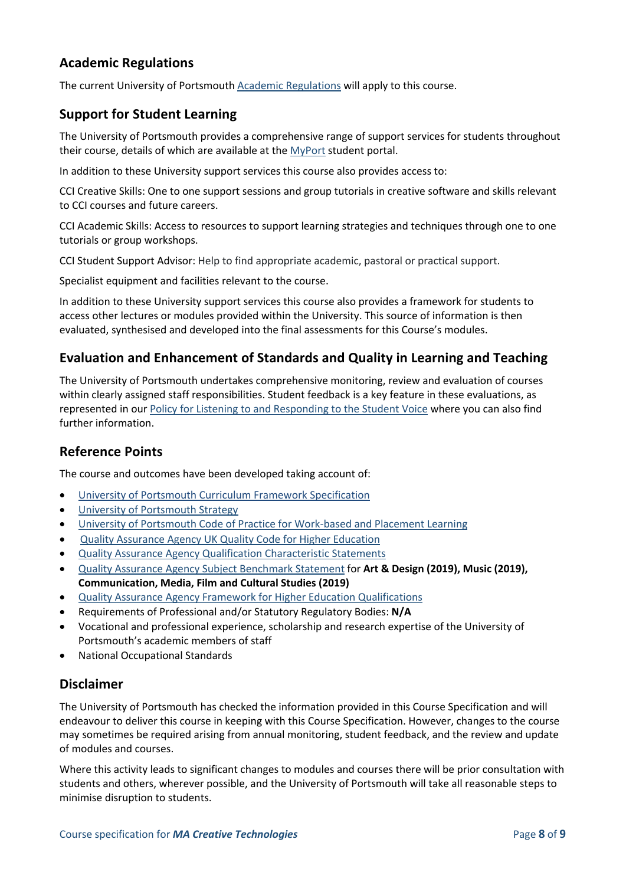#### **Academic Regulations**

The current University of Portsmouth [Academic Regulations](https://staff.port.ac.uk/departments/services/academicregistry/qmd/assessmentandregulations/) will apply to this course.

#### **Support for Student Learning**

The University of Portsmouth provides a comprehensive range of support services for students throughout their course, details of which are available at the [MyPort](http://myport.ac.uk/) student portal.

In addition to these University support services this course also provides access to:

CCI Creative Skills: One to one support sessions and group tutorials in creative software and skills relevant to CCI courses and future careers.

CCI Academic Skills: Access to resources to support learning strategies and techniques through one to one tutorials or group workshops.

CCI Student Support Advisor: Help to find appropriate academic, pastoral or practical support.

Specialist equipment and facilities relevant to the course.

In addition to these University support services this course also provides a framework for students to access other lectures or modules provided within the University. This source of information is then evaluated, synthesised and developed into the final assessments for this Course's modules.

#### **Evaluation and Enhancement of Standards and Quality in Learning and Teaching**

The University of Portsmouth undertakes comprehensive monitoring, review and evaluation of courses within clearly assigned staff responsibilities. Student feedback is a key feature in these evaluations, as represented in our [Policy for Listening to and Responding to the Student Voice](http://policies.docstore.port.ac.uk/policy-069.pdf) where you can also find further information.

#### **Reference Points**

The course and outcomes have been developed taking account of:

- [University of Portsmouth Curriculum Framework Specification](http://policies.docstore.port.ac.uk/policy-217.pdf?_ga=2.168540897.1174490045.1624866767-353504235.1613498042)
- [University of Portsmouth Strategy](https://www.port.ac.uk/about-us/our-ambition/our-strategy)
- [University of Portsmouth Code of Practice for Work-based and Placement Learning](http://policies.docstore.port.ac.uk/policy-151.pdf)
- [Quality Assurance Agency UK Quality Code for Higher Education](https://www.qaa.ac.uk/quality-code)
- [Quality Assurance Agency Qualification Characteristic Statements](https://www.qaa.ac.uk/quality-code/characteristics-statements)
- [Quality Assurance Agency Subject Benchmark Statement](https://www.qaa.ac.uk/quality-code/subject-benchmark-statements) for **Art & Design (2019), Music (2019), Communication, Media, Film and Cultural Studies (2019)**
- [Quality Assurance Agency Framework for Higher Education Qualifications](https://www.qaa.ac.uk/quality-code/qualifications-frameworks)
- Requirements of Professional and/or Statutory Regulatory Bodies: **N/A**
- Vocational and professional experience, scholarship and research expertise of the University of Portsmouth's academic members of staff
- National Occupational Standards

#### **Disclaimer**

The University of Portsmouth has checked the information provided in this Course Specification and will endeavour to deliver this course in keeping with this Course Specification. However, changes to the course may sometimes be required arising from annual monitoring, student feedback, and the review and update of modules and courses.

Where this activity leads to significant changes to modules and courses there will be prior consultation with students and others, wherever possible, and the University of Portsmouth will take all reasonable steps to minimise disruption to students.